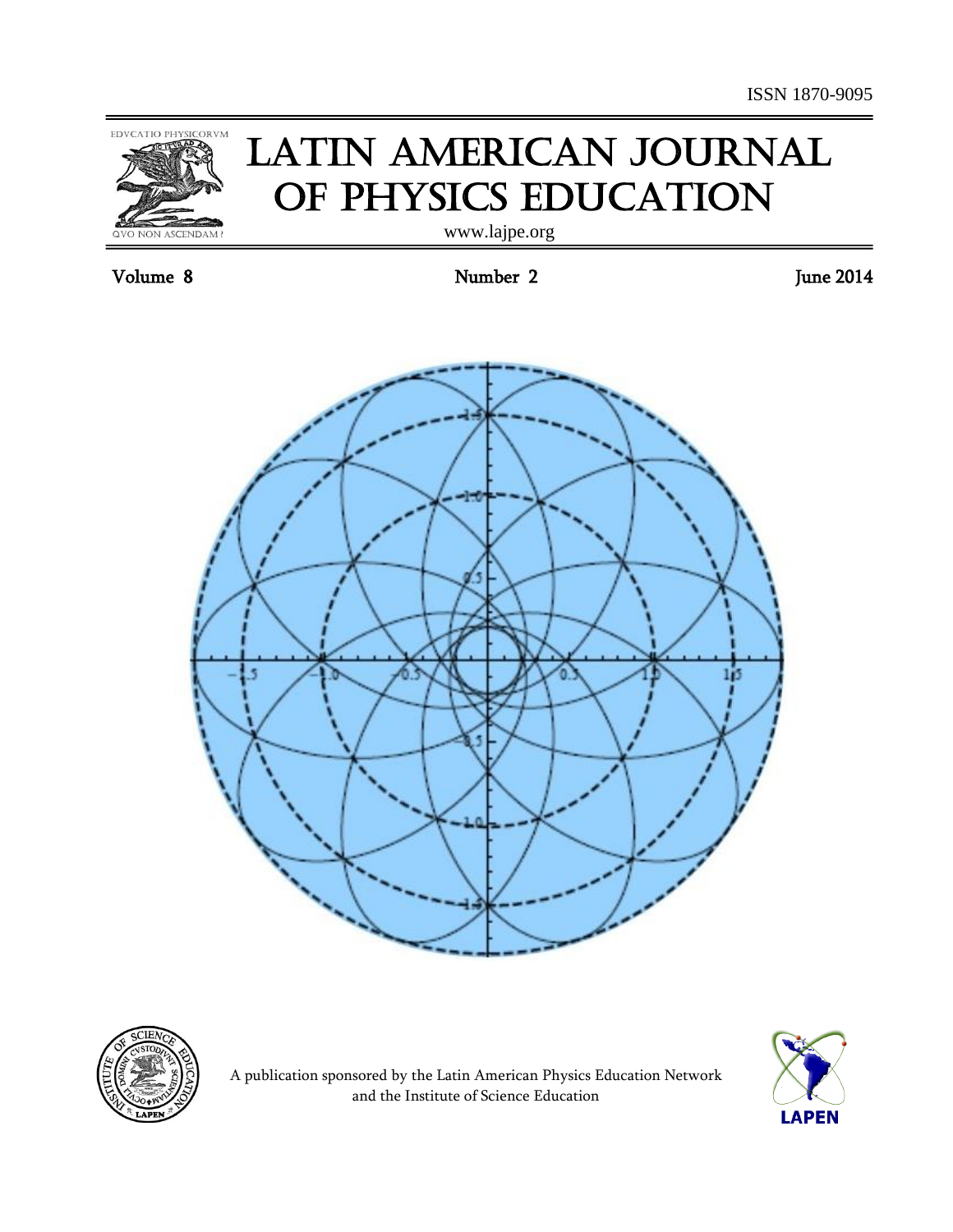

# **LATIN AMERICAN JOURNAL** of Physics Education

www.lajpe.org

Volume 8 June 2014







A publication sponsored by the Latin American Physics Education Network and the Institute of Science Education